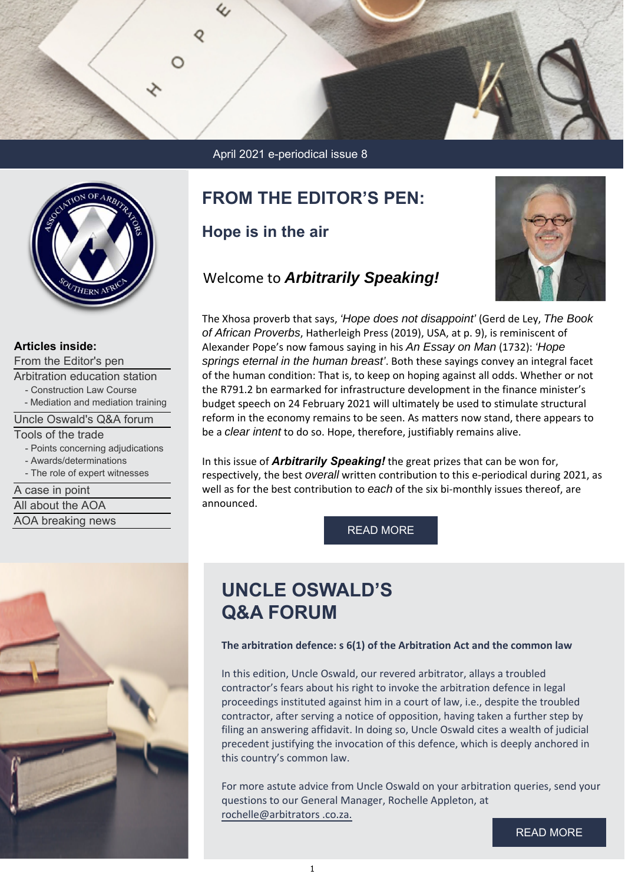

April 2021 e-periodical issue 8



[From the Editor's pen](https://www.arbitrators.co.za/from-the-editors-pen-april-2021/) **Articles inside:** Arbitration education station

- - [Construction Law Course](https://associationofarbitrators.lt.acemlnb.com/Prod/link-tracker?redirectUrl=aHR0cHMlM0ElMkYlMkZ3d3cuYXJiaXRyYXRvcnMuY28uemElMkZhcmJpdHJhdGlvbi1lZHVjYXRpb24tc3RhdGlvbl9zcGVjaWFsaXNhdGlvbi1pbi1jb25zdHJ1Y3Rpb24tbGF3LWFwcmlsLTIwMjElMkY=&a=224134403&account=associationofarbitrators%2Eactivehosted%2Ecom&email=v6WMFK60LUUqFXC7FcpoKChyCBODFuniF798Q8NA3%2B0%3D&s=0f717e177bdd93b04da048609fbd5471&i=16A54A7A242)
- [Mediation and mediation training](https://associationofarbitrators.lt.acemlnb.com/Prod/link-tracker?redirectUrl=aHR0cHMlM0ElMkYlMkZ3d3cuYXJiaXRyYXRvcnMuY28uemElMkZhcmJpdHJhdGlvbi1lZHVjYXRpb24tc3RhdGlvbi1tZWRpYXRpb24tdHJhaW5pbmctYXByaWwtMjAyMSUyRg==&a=224134403&account=associationofarbitrators%2Eactivehosted%2Ecom&email=v6WMFK60LUUqFXC7FcpoKChyCBODFuniF798Q8NA3%2B0%3D&s=0f717e177bdd93b04da048609fbd5471&i=16A54A7A243)

#### [Uncle Oswald's Q&A forum](https://associationofarbitrators.lt.acemlnb.com/Prod/link-tracker?redirectUrl=aHR0cHMlM0ElMkYlMkZ3d3cuYXJiaXRyYXRvcnMuY28uemElMkZ1bmNsZS1vc3dhbGRzLXFhLWZvcnVtLWFwcmlsLTIwMjElMkY=&a=224134403&account=associationofarbitrators%2Eactivehosted%2Ecom&email=v6WMFK60LUUqFXC7FcpoKChyCBODFuniF798Q8NA3%2B0%3D&s=0f717e177bdd93b04da048609fbd5471&i=16A54A7A244)

#### Tools of the trade

- - [Points concerning adjudications](https://associationofarbitrators.lt.acemlnb.com/Prod/link-tracker?redirectUrl=aHR0cHMlM0ElMkYlMkZ3d3cuYXJiaXRyYXRvcnMuY28uemElMkZ0b29scy1vZi10aGUtdHJhZGUtaW50ZXJlc3RpbmctcG9pbnRzLWNvbmNlcm5pbmctYWRqdWRpY2F0aW9ucy1hcHJpbC0yMDIxJTJG&a=224134403&account=associationofarbitrators%2Eactivehosted%2Ecom&email=v6WMFK60LUUqFXC7FcpoKChyCBODFuniF798Q8NA3%2B0%3D&s=0f717e177bdd93b04da048609fbd5471&i=16A54A7A245)
- - [Awards/determinations](https://associationofarbitrators.lt.acemlnb.com/Prod/link-tracker?redirectUrl=aHR0cHMlM0ElMkYlMkZ3d3cuYXJiaXRyYXRvcnMuY28uemElMkZ0b29scy1vZi10aGUtdHJhZGUtYWx0ZXJuYXRlLWRpc3B1dGUtcmVzb2x1dGlvbi1hcHJpbC0yMDIxJTJG&a=224134403&account=associationofarbitrators%2Eactivehosted%2Ecom&email=v6WMFK60LUUqFXC7FcpoKChyCBODFuniF798Q8NA3%2B0%3D&s=0f717e177bdd93b04da048609fbd5471&i=16A54A7A246)
- - [The role of expert witnesses](https://associationofarbitrators.lt.acemlnb.com/Prod/link-tracker?redirectUrl=aHR0cHMlM0ElMkYlMkZ3d3cuYXJiaXRyYXRvcnMuY28uemElMkZ0b29scy1vZi10aGUtdHJhZGUtdGhlLXJvbGUtb2YtYW4tZXhwZXJ0LXdpdG5lc3MtYW5kLXRoZS1ldmFsdWF0aW9uLW9mLWV4cGVydC1ldmVkaW5jZS1hcHJpbC0yMDIxJTJG&a=224134403&account=associationofarbitrators%2Eactivehosted%2Ecom&email=v6WMFK60LUUqFXC7FcpoKChyCBODFuniF798Q8NA3%2B0%3D&s=0f717e177bdd93b04da048609fbd5471&i=16A54A7A247)

[A case in point](https://www.arbitrators.co.za/a-case-in-point-recent-case-reports-april-2021/)

[All about the AOA](https://associationofarbitrators.lt.acemlnb.com/Prod/link-tracker?redirectUrl=aHR0cHMlM0ElMkYlMkZ3d3cuYXJiaXRyYXRvcnMuY28uemElMkZhbGwtYWJvdXQtdGhlLWFvYS1mZWJydWFyeS0yMDIxJTJG&a=224134403&account=associationofarbitrators%2Eactivehosted%2Ecom&email=v6WMFK60LUUqFXC7FcpoKChyCBODFuniF798Q8NA3%2B0%3D&s=0f717e177bdd93b04da048609fbd5471&i=16A54A7A249) [AOA breaking news](https://associationofarbitrators.lt.acemlnb.com/Prod/link-tracker?redirectUrl=aHR0cHMlM0ElMkYlMkZ3d3cuYXJiaXRyYXRvcnMuY28uemElMkZhb2EtYnJlYWtpbmctbmV3cy1hcHJpbC0yMDIxJTJG&a=224134403&account=associationofarbitrators%2Eactivehosted%2Ecom&email=v6WMFK60LUUqFXC7FcpoKChyCBODFuniF798Q8NA3%2B0%3D&s=0f717e177bdd93b04da048609fbd5471&i=16A54A7A250)



### **FROM THE EDITOR'S PEN:**

**Hope is in the air**

### Welcome to *Arbitrarily Speaking!*



The Xhosa proverb that says, *'Hope does not disappoint'* (Gerd de Ley, *The Book of African Proverbs*, Hatherleigh Press (2019), USA, at p. 9), is reminiscent of Alexander Pope's now famous saying in his *An Essay on Man* (1732): *'Hope springs eternal in the human breast'*. Both these sayings convey an integral facet of the human condition: That is, to keep on hoping against all odds. Whether or not the R791.2 bn earmarked for infrastructure development in the finance minister's budget speech on 24 February 2021 will ultimately be used to stimulate structural reform in the economy remains to be seen. As matters now stand, there appears to be a *clear intent* to do so. Hope, therefore, justifiably remains alive.

In this issue of *Arbitrarily Speaking!* the great prizes that can be won for, respectively, the best *overall* written contribution to this e‐periodical during 2021, as well as for the best contribution to each of the six bi-monthly issues thereof, are announced.

[READ MORE](https://associationofarbitrators.lt.acemlnb.com/Prod/link-tracker?redirectUrl=aHR0cHMlM0ElMkYlMkZ3d3cuYXJiaXRyYXRvcnMuY28uemElMkZmcm9tLXRoZS1lZGl0b3JzLXBlbi1hcHJpbC0yMDIxJTJG&a=224134403&account=associationofarbitrators%2Eactivehosted%2Ecom&email=v6WMFK60LUUqFXC7FcpoKChyCBODFuniF798Q8NA3%2B0%3D&s=0f717e177bdd93b04da048609fbd5471&i=16A54A7A241) 

## **UNCLE OSWALD'S Q&A FORUM**

#### **The arbitration defence: s 6(1) of the Arbitration Act and the common law**

In this edition, Uncle Oswald, our revered arbitrator, allays a troubled contractor's fears about his right to invoke the arbitration defence in legal proceedings instituted against him in a court of law, i.e., despite the troubled contractor, after serving a notice of opposition, having taken a further step by filing an answering affidavit. In doing so, Uncle Oswald cites a wealth of judicial precedent justifying the invocation of this defence, which is deeply anchored in this country's common law.

For more astute advice from Uncle Oswald on your arbitration queries, send your questions to our General Manager, Rochelle Appleton, at [rochelle@arbitrators .co.za.](mailto:rochelle@arbitrators.co.za)

[READ MORE](https://associationofarbitrators.lt.acemlnb.com/Prod/link-tracker?redirectUrl=aHR0cHMlM0ElMkYlMkZ3d3cuYXJiaXRyYXRvcnMuY28uemElMkZ1bmNsZS1vc3dhbGRzLXFhLWZvcnVtLWFwcmlsLTIwMjElMkY=&a=224134403&account=associationofarbitrators%2Eactivehosted%2Ecom&email=v6WMFK60LUUqFXC7FcpoKChyCBODFuniF798Q8NA3%2B0%3D&s=0f717e177bdd93b04da048609fbd5471&i=16A54A7A244)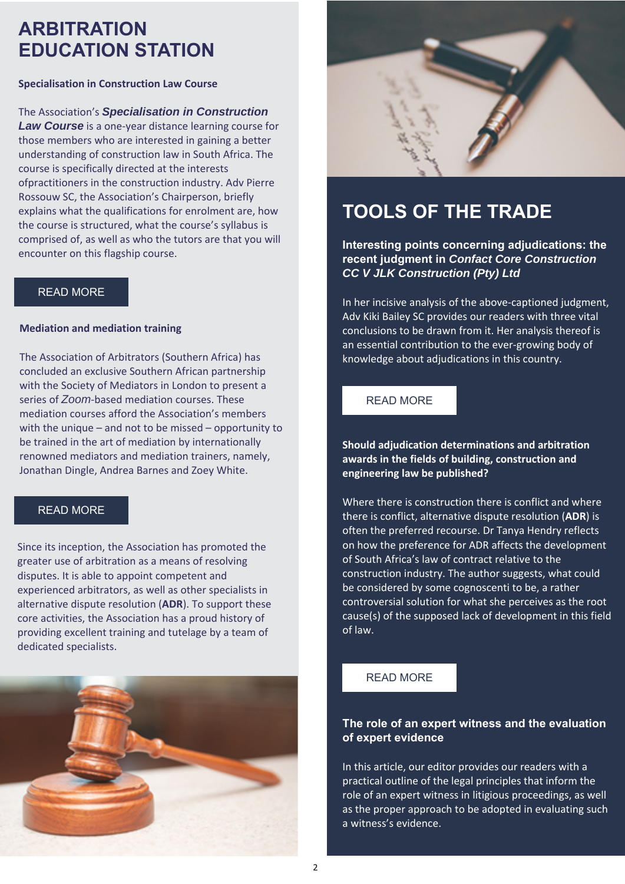### **ARBITRATION EDUCATION STATION**

#### **Specialisation in Construction Law Course**

#### The Association's *Specialisation in Construction*

**Law Course** is a one-year distance learning course for those members who are interested in gaining a better understanding of construction law in South Africa. The course is specifically directed at the interests ofpractitioners in the construction industry. Adv Pierre Rossouw SC, the Association's Chairperson, briefly explains what the qualifications for enrolment are, how the course is structured, what the course's syllabus is comprised of, as well as who the tutors are that you will encounter on this flagship course.

#### [READ MORE](https://associationofarbitrators.lt.acemlnb.com/Prod/link-tracker?redirectUrl=aHR0cHMlM0ElMkYlMkZ3d3cuYXJiaXRyYXRvcnMuY28uemElMkZhcmJpdHJhdGlvbi1lZHVjYXRpb24tc3RhdGlvbl9zcGVjaWFsaXNhdGlvbi1pbi1jb25zdHJ1Y3Rpb24tbGF3LWFwcmlsLTIwMjElMkY=&a=224134403&account=associationofarbitrators%2Eactivehosted%2Ecom&email=v6WMFK60LUUqFXC7FcpoKChyCBODFuniF798Q8NA3%2B0%3D&s=0f717e177bdd93b04da048609fbd5471&i=16A54A7A242)

#### **Mediation and mediation training**

The Association of Arbitrators (Southern Africa) has concluded an exclusive Southern African partnership with the Society of Mediators in London to present a series of *Zoom*-based mediation courses. These mediation courses afford the Association's members with the unique – and not to be missed – opportunity to be trained in the art of mediation by internationally renowned mediators and mediation trainers, namely, Jonathan Dingle, Andrea Barnes and Zoey White.

#### [READ MORE](https://associationofarbitrators.lt.acemlnb.com/Prod/link-tracker?redirectUrl=aHR0cHMlM0ElMkYlMkZ3d3cuYXJiaXRyYXRvcnMuY28uemElMkZhcmJpdHJhdGlvbi1lZHVjYXRpb24tc3RhdGlvbi1tZWRpYXRpb24tdHJhaW5pbmctYXByaWwtMjAyMSUyRg==&a=224134403&account=associationofarbitrators%2Eactivehosted%2Ecom&email=v6WMFK60LUUqFXC7FcpoKChyCBODFuniF798Q8NA3%2B0%3D&s=0f717e177bdd93b04da048609fbd5471&i=16A54A7A243)

Since its inception, the Association has promoted the greater use of arbitration as a means of resolving disputes. It is able to appoint competent and experienced arbitrators, as well as other specialists in alternative dispute resolution (**ADR**). To support these core activities, the Association has a proud history of providing excellent training and tutelage by a team of dedicated specialists.





### **TOOLS OF THE TRADE**

**Interesting points concerning adjudications: the recent judgment in** *Confact Core Construction CC V JLK Construction (Pty) Ltd*

In her incisive analysis of the above‐captioned judgment, Adv Kiki Bailey SC provides our readers with three vital conclusions to be drawn from it. Her analysis thereof is an essential contribution to the ever‐growing body of knowledge about adjudications in this country.

#### [READ MORE](https://associationofarbitrators.lt.acemlnb.com/Prod/link-tracker?redirectUrl=aHR0cHMlM0ElMkYlMkZ3d3cuYXJiaXRyYXRvcnMuY28uemElMkZ0b29scy1vZi10aGUtdHJhZGUtaW50ZXJlc3RpbmctcG9pbnRzLWNvbmNlcm5pbmctYWRqdWRpY2F0aW9ucy1hcHJpbC0yMDIxJTJG&a=224134403&account=associationofarbitrators%2Eactivehosted%2Ecom&email=v6WMFK60LUUqFXC7FcpoKChyCBODFuniF798Q8NA3%2B0%3D&s=0f717e177bdd93b04da048609fbd5471&i=16A54A7A245)

**Should adjudication determinations and arbitration awards in the fields of building, construction and engineering law be published?**

Where there is construction there is conflict and where there is conflict, alternative dispute resolution (**ADR**) is often the preferred recourse. Dr Tanya Hendry reflects on how the preference for ADR affects the development of South Africa's law of contract relative to the construction industry. The author suggests, what could be considered by some cognoscenti to be, a rather controversial solution for what she perceives as the root cause(s) of the supposed lack of development in this field of law.

#### [READ MORE](https://associationofarbitrators.lt.acemlnb.com/Prod/link-tracker?redirectUrl=aHR0cHMlM0ElMkYlMkZ3d3cuYXJiaXRyYXRvcnMuY28uemElMkZ0b29scy1vZi10aGUtdHJhZGUtYWx0ZXJuYXRlLWRpc3B1dGUtcmVzb2x1dGlvbi1hcHJpbC0yMDIxJTJG&a=224134403&account=associationofarbitrators%2Eactivehosted%2Ecom&email=v6WMFK60LUUqFXC7FcpoKChyCBODFuniF798Q8NA3%2B0%3D&s=0f717e177bdd93b04da048609fbd5471&i=16A54A7A246)

#### **The role of an expert witness and the evaluation of expert evidence**

In this article, our editor provides our readers with a practical outline of the legal principles that inform the role of an expert witness in litigious proceedings, as well as the proper approach to be adopted in evaluating such a witness's evidence.